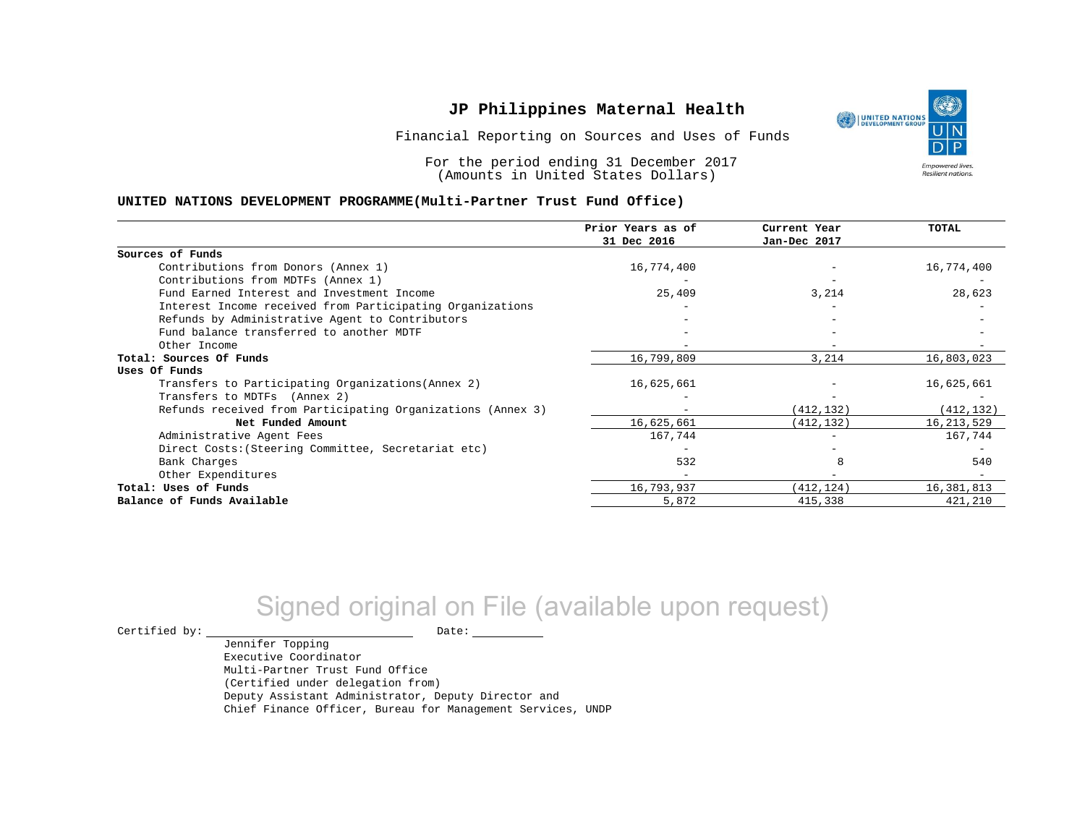Financial Reporting on Sources and Uses of Funds

For the period ending 31 December 2017 (Amounts in United States Dollars)

### **UNITED NATIONS DEVELOPMENT PROGRAMME(Multi-Partner Trust Fund Office)**

|                                                             | Prior Years as of<br>31 Dec 2016 | Current Year<br>Jan-Dec 2017 | <b>TOTAL</b> |
|-------------------------------------------------------------|----------------------------------|------------------------------|--------------|
|                                                             |                                  |                              |              |
| Sources of Funds                                            |                                  |                              |              |
| Contributions from Donors (Annex 1)                         | 16,774,400                       |                              | 16,774,400   |
| Contributions from MDTFs (Annex 1)                          |                                  |                              |              |
| Fund Earned Interest and Investment Income                  | 25,409                           | 3,214                        | 28,623       |
| Interest Income received from Participating Organizations   |                                  |                              |              |
| Refunds by Administrative Agent to Contributors             |                                  |                              |              |
| Fund balance transferred to another MDTF                    |                                  |                              |              |
| Other Income                                                |                                  |                              |              |
| Total: Sources Of Funds                                     | 16,799,809                       | 3,214                        | 16,803,023   |
| Uses Of Funds                                               |                                  |                              |              |
| Transfers to Participating Organizations (Annex 2)          | 16,625,661                       |                              | 16,625,661   |
| Transfers to MDTFs (Annex 2)                                |                                  |                              |              |
| Refunds received from Participating Organizations (Annex 3) |                                  | (412, 132)                   | (412, 132)   |
| Net Funded Amount                                           | 16,625,661                       | (412, 132)                   | 16, 213, 529 |
| Administrative Agent Fees                                   | 167,744                          |                              | 167,744      |
| Direct Costs: (Steering Committee, Secretariat etc)         |                                  |                              |              |
| Bank Charges                                                | 532                              |                              | 540          |
| Other Expenditures                                          |                                  |                              |              |
| Total: Uses of Funds                                        | 16,793,937                       | (412, 124)                   | 16,381,813   |
| Balance of Funds Available                                  | 5,872                            | 415,338                      | 421,210      |

# Signed original on File (available upon request)

 $\begin{tabular}{ccccc} \multicolumn{2}{c|}{\textbf{Certified by:}} & \multicolumn{2}{c|}{\textbf{Date:}} \end{tabular}$ 

Jennifer Topping Executive Coordinator Multi-Partner Trust Fund Office (Certified under delegation from) Deputy Assistant Administrator, Deputy Director and Chief Finance Officer, Bureau for Management Services, UNDP

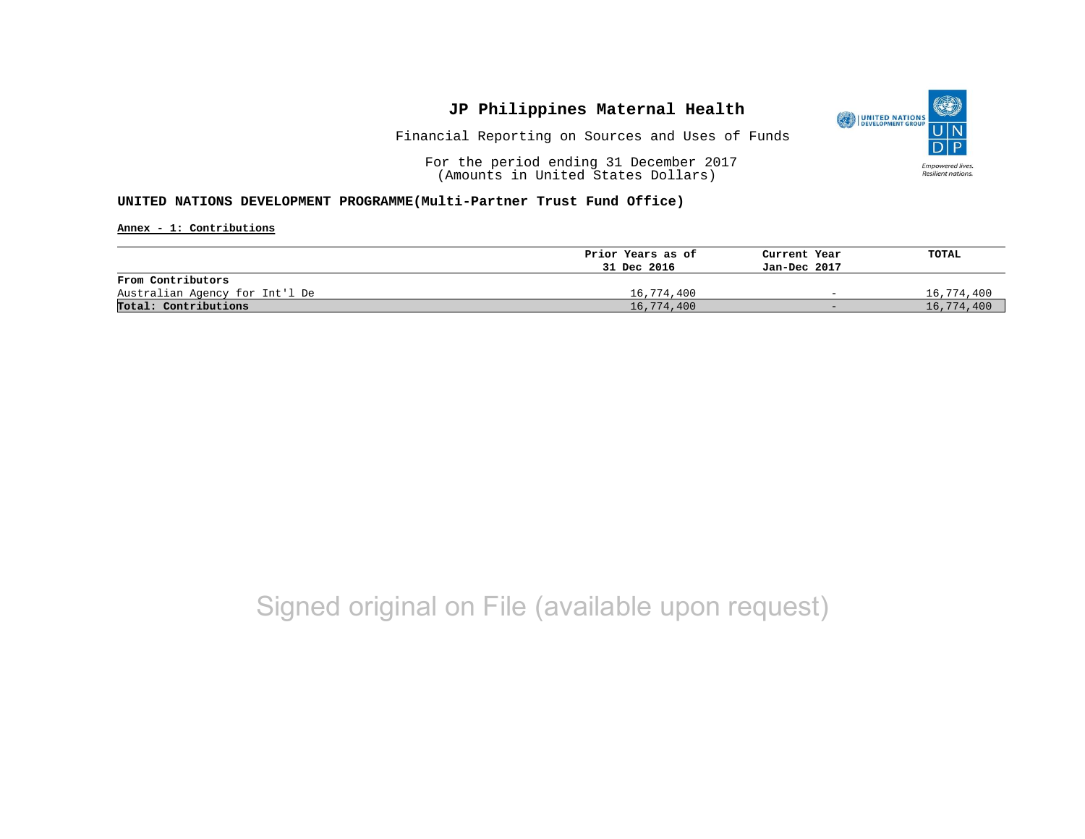

Financial Reporting on Sources and Uses of Funds

For the period ending 31 December 2017 (Amounts in United States Dollars)

### **UNITED NATIONS DEVELOPMENT PROGRAMME(Multi-Partner Trust Fund Office)**

**Annex - 1: Contributions**

|                                | Prior Years as of | Current Year             | TOTAL      |
|--------------------------------|-------------------|--------------------------|------------|
|                                | 31 Dec 2016       | Jan-Dec 2017             |            |
| From Contributors              |                   |                          |            |
| Australian Agency for Int'l De | 16,774,400        | $\overline{\phantom{0}}$ | 16,774,400 |
| Total: Contributions           | 16,774,400        | $-$                      | 16,774,400 |

# Signed original on File (available upon request)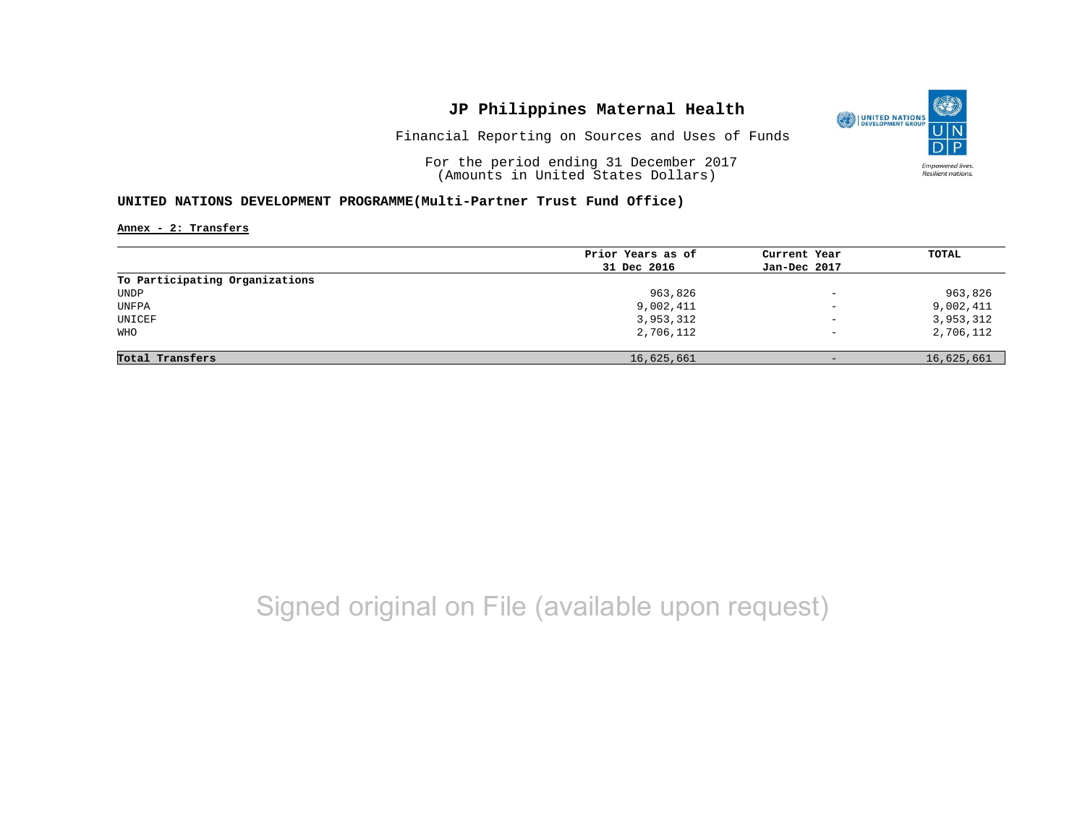

Financial Reporting on Sources and Uses of Funds

For the period ending 31 December 2017 (Amounts in United States Dollars)

### **UNITED NATIONS DEVELOPMENT PROGRAMME(Multi-Partner Trust Fund Office)**

**Annex - 2: Transfers**

|                                | Prior Years as of | Current Year             | TOTAL      |
|--------------------------------|-------------------|--------------------------|------------|
|                                | 31 Dec 2016       | Jan-Dec 2017             |            |
| To Participating Organizations |                   |                          |            |
| UNDP                           | 963,826           | $\overline{\phantom{a}}$ | 963,826    |
| UNFPA                          | 9,002,411         | $\overline{\phantom{0}}$ | 9,002,411  |
| UNICEF                         | 3,953,312         | $\overline{\phantom{a}}$ | 3,953,312  |
| <b>WHO</b>                     | 2,706,112         | $\overline{\phantom{m}}$ | 2,706,112  |
|                                |                   |                          |            |
| Total Transfers                | 16,625,661        | $-$                      | 16,625,661 |

# Signed original on File (available upon request)